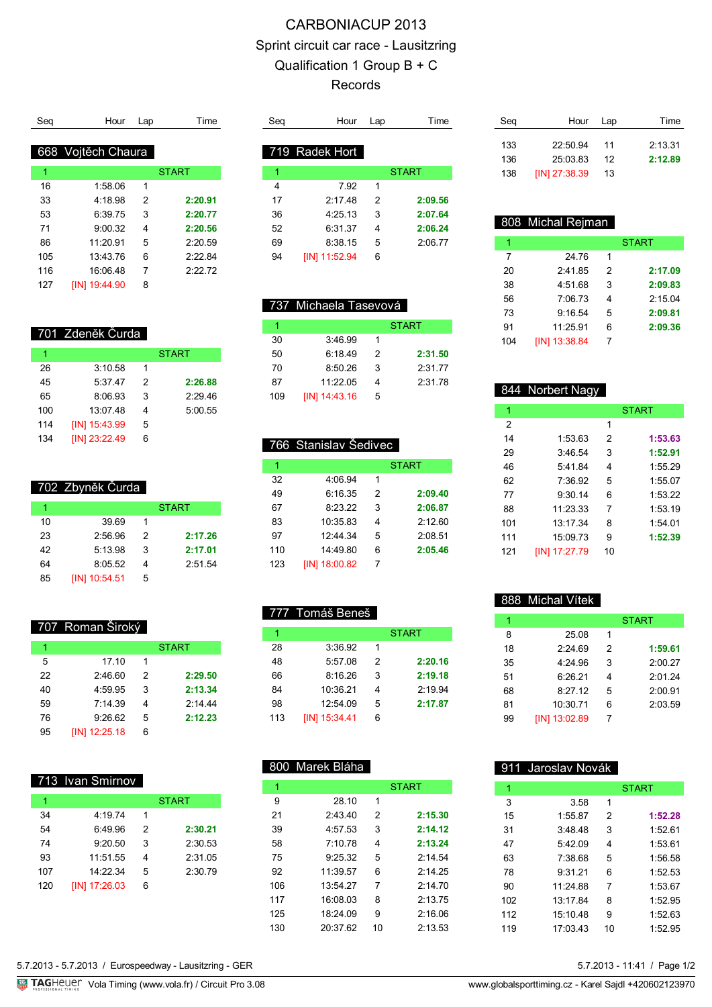## CARBONIACUP 2013 Sprint circuit car race - Lausitzring Qualification 1 Group B + C Records

| Sea | Hour               | Lap | Time         |
|-----|--------------------|-----|--------------|
|     |                    |     |              |
|     | 668 Vojtěch Chaura |     |              |
| 1   |                    |     | <b>START</b> |
| 16  | 1:58.06            | 1   |              |
| 33  | 4:18.98            | 2   | 2:20.91      |
| 53  | 6:39.75            | 3   | 2:20.77      |
| 71  | 9:00.32            | 4   | 2:20.56      |
| 86  | 11:20.91           | 5   | 2:20.59      |
| 105 | 13:43.76           | 6   | 2.2284       |
| 116 | 16:06.48           | 7   | 2.2272       |
| 127 | [IN] 19:44.90      | 8   |              |

| Sea | Hour           | Lap | Time         |
|-----|----------------|-----|--------------|
|     |                |     |              |
|     | 719 Radek Hort |     |              |
| 1   |                |     | <b>START</b> |
| 4   | 7.92           | 1   |              |
| 17  | 2.1748         | 2   | 2:09.56      |
| 36  | 4:25.13        | 3   | 2:07.64      |
| 52  | 6:31.37        | 4   | 2:06.24      |
| 69  | 8:38.15        | 5   | 2:06.77      |
| 94  | [IN] 11:52.94  | 6   |              |
|     |                |     |              |

 737 Michaela Tasevová 1 START

 6:18.49 2 **2:31.50** 8:50.26 3 2:31.77 11:22.05 4 2:31.78

1 START

 6:16.35 2 **2:09.40** 8:23.22 3 **2:06.87** 10:35.83 4 2:12.60 12:44.34 5 2:08.51 14:49.80 6 **2:05.46**

3:46.99 1

[IN] 14:43.16 5

766 Stanislav Šedivec

4:06.94 1

[IN] 18:00.82 7

777 Tomáš Beneš

3:36.92 1

[IN] 15:34.41 6

1 START

 5:57.08 2 **2:20.16** 8:16.26 3 **2:19.18** 10:36.21 4 2:19.94 12:54.09 5 **2:17.87**

| Seg | Hour            | Lap | Time    |
|-----|-----------------|-----|---------|
| 133 | 22:50.94        | 11  | 2:13.31 |
| 136 | 25:03.83        | 12  | 2:12.89 |
| 138 | $[IN]$ 27:38.39 | 13  |         |

|     | 808 Michal Rejman |               |              |
|-----|-------------------|---------------|--------------|
| 1   |                   |               | <b>START</b> |
| 7   | 24.76             | 1             |              |
| 20  | 2:41.85           | $\mathcal{P}$ | 2:17.09      |
| 38  | 4:51.68           | 3             | 2:09.83      |
| 56  | 7:06.73           | 4             | 2:15.04      |
| 73  | 9:16.54           | 5             | 2:09.81      |
| 91  | 11:25.91          | 6             | 2:09.36      |
| 104 | [IN] 13:38.84     |               |              |

|     | 844 Norbert Nagy |    |              |
|-----|------------------|----|--------------|
| 1   |                  |    | <b>START</b> |
| 2   |                  | 1  |              |
| 14  | 1:5363           | 2  | 1:53.63      |
| 29  | 3.46.54          | 3  | 1:52.91      |
| 46  | 5.41.84          | 4  | 1:55.29      |
| 62  | 7:36.92          | 5  | 1:55.07      |
| 77  | 9:30.14          | 6  | 1:53.22      |
| 88  | 11.23.33         | 7  | 1:53.19      |
| 101 | 13:17.34         | 8  | 1:54.01      |
| 111 | 15:09.73         | 9  | 1:52.39      |
| 121 | [IN] 17:27.79    | 10 |              |

|    | 888 Michal Vítek |   |              |
|----|------------------|---|--------------|
| 1  |                  |   | <b>START</b> |
| 8  | 25.08            | 1 |              |
| 18 | 2.2469           | 2 | 1:59.61      |
| 35 | 4.24.96          | 3 | 2:00.27      |
| 51 | 6.2621           | 4 | 2:01.24      |
| 68 | 8.2712           | 5 | 2:00.91      |
| 81 | 10:30.71         | 6 | 2:03.59      |
| 99 | [IN] 13:02.89    | 7 |              |
|    |                  |   |              |

|     | 911 Jaroslav Novák |    |              |
|-----|--------------------|----|--------------|
| 1   |                    |    | <b>START</b> |
| 3   | 3.58               | 1  |              |
| 15  | 1:55.87            | 2  | 1:52.28      |
| 31  | 3.4848             | 3  | 1:5261       |
| 47  | 5.4209             | 4  | 1:53.61      |
| 63  | 7.3868             | 5  | 1:56.58      |
| 78  | 9.3121             | 6  | 1:52.53      |
| 90  | 11.248             | 7  | 1:53.67      |
| 102 | 13.17.84           | 8  | 1:52.95      |
| 112 | 15:10.48           | 9  | 1:52.63      |
| 119 | 17:03.43           | 10 | 1:52.95      |
|     |                    |    |              |

| 5 7 2013 - 11:41 / Page 1/ |  |  |
|----------------------------|--|--|

| 701 Zdeněk Čurda |  |
|------------------|--|

| 1   |               |   | <b>START</b> |
|-----|---------------|---|--------------|
| 26  | 3:10.58       | 1 |              |
| 45  | 5:37.47       | 2 | 2:26.88      |
| 65  | 8:06.93       | 3 | 2:29.46      |
| 100 | 13:07.48      | 4 | 5:00.55      |
| 114 | [IN] 15:43.99 | 5 |              |
| 134 | [IN] 23:22.49 | 6 |              |

| 702 Zbyněk Čurda |         |   |              |  |
|------------------|---------|---|--------------|--|
|                  |         |   | <b>START</b> |  |
| 10               | 39.69   |   |              |  |
| 23               | 2.5696  | 2 | 2:17.26      |  |
| 42               | 5:13.98 | 3 | 2:17.01      |  |
| 64               | 8:05.52 |   | 2:51.54      |  |

| 707 Roman Široký |  |
|------------------|--|
|                  |  |
|                  |  |

[IN] 10:54.51 5

| 1  |                 |   | <b>START</b> |
|----|-----------------|---|--------------|
| 5  | 17.10           | 1 |              |
| 22 | 2:46.60         | 2 | 2:29.50      |
| 40 | 4:59.95         | 3 | 2:13.34      |
| 59 | 7.14.39         | 4 | 2.1444       |
| 76 | 9:26.62         | 5 | 2:12.23      |
| 95 | $[IN]$ 12:25.18 | 6 |              |

#### 713 Ivan Smirnov

| 1   |               |   | <b>START</b> |
|-----|---------------|---|--------------|
| 34  | 4:19.74       | 1 |              |
| 54  | 6:49.96       | 2 | 2:30.21      |
| 74  | 9:20.50       | 3 | 2:30.53      |
| 93  | 11:51.55      | 4 | 2:31.05      |
| 107 | 14.22.34      | 5 | 2:30.79      |
| 120 | [IN] 17:26.03 | 6 |              |

# 800 Marek Bláha

| 1   |          |    | <b>START</b> |
|-----|----------|----|--------------|
| 9   | 28.10    | 1  |              |
| 21  | 2:43.40  | 2  | 2:15.30      |
| 39  | 4:57.53  | 3  | 2:14.12      |
| 58  | 7.1078   | 4  | 2:13.24      |
| 75  | 9.25.32  | 5  | 2.14.54      |
| 92  | 11.39.57 | 6  | 2.14.25      |
| 106 | 13:54.27 | 7  | 2.1470       |
| 117 | 16:08:03 | 8  | 2.1375       |
| 125 | 18.2409  | 9  | 2:16.06      |
| 130 | 20:3762  | 10 | 2:13.53      |
|     |          |    |              |

| 5.7.2013 - 11:41 / Page 1/2 |  |
|-----------------------------|--|
|-----------------------------|--|